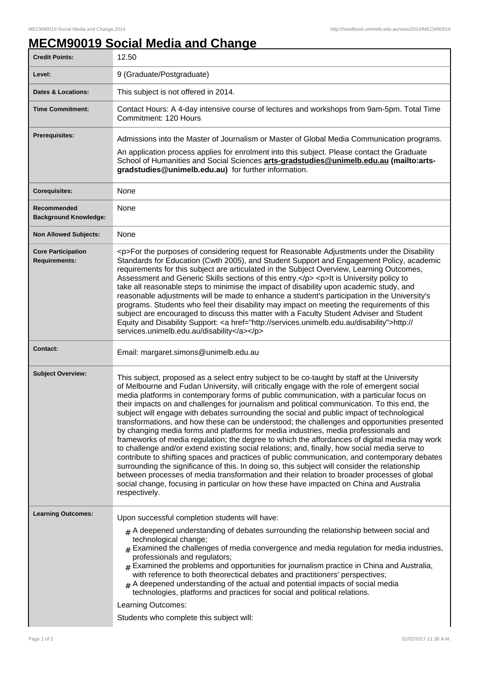## **MECM90019 Social Media and Change**

| <b>Credit Points:</b>                       | 12.50                                                                                                                                                                                                                                                                                                                                                                                                                                                                                                                                                                                                                                                                                                                                                                                                                                                                                                                                                                                                                                                                                                                                                                                                                                                                                       |
|---------------------------------------------|---------------------------------------------------------------------------------------------------------------------------------------------------------------------------------------------------------------------------------------------------------------------------------------------------------------------------------------------------------------------------------------------------------------------------------------------------------------------------------------------------------------------------------------------------------------------------------------------------------------------------------------------------------------------------------------------------------------------------------------------------------------------------------------------------------------------------------------------------------------------------------------------------------------------------------------------------------------------------------------------------------------------------------------------------------------------------------------------------------------------------------------------------------------------------------------------------------------------------------------------------------------------------------------------|
| Level:                                      | 9 (Graduate/Postgraduate)                                                                                                                                                                                                                                                                                                                                                                                                                                                                                                                                                                                                                                                                                                                                                                                                                                                                                                                                                                                                                                                                                                                                                                                                                                                                   |
| <b>Dates &amp; Locations:</b>               | This subject is not offered in 2014.                                                                                                                                                                                                                                                                                                                                                                                                                                                                                                                                                                                                                                                                                                                                                                                                                                                                                                                                                                                                                                                                                                                                                                                                                                                        |
| <b>Time Commitment:</b>                     | Contact Hours: A 4-day intensive course of lectures and workshops from 9am-5pm. Total Time<br>Commitment: 120 Hours                                                                                                                                                                                                                                                                                                                                                                                                                                                                                                                                                                                                                                                                                                                                                                                                                                                                                                                                                                                                                                                                                                                                                                         |
| <b>Prerequisites:</b>                       | Admissions into the Master of Journalism or Master of Global Media Communication programs.<br>An application process applies for enrolment into this subject. Please contact the Graduate<br>School of Humanities and Social Sciences arts-gradstudies@unimelb.edu.au (mailto:arts-<br>gradstudies@unimelb.edu.au) for further information.                                                                                                                                                                                                                                                                                                                                                                                                                                                                                                                                                                                                                                                                                                                                                                                                                                                                                                                                                 |
| <b>Corequisites:</b>                        | None                                                                                                                                                                                                                                                                                                                                                                                                                                                                                                                                                                                                                                                                                                                                                                                                                                                                                                                                                                                                                                                                                                                                                                                                                                                                                        |
| Recommended<br><b>Background Knowledge:</b> | None                                                                                                                                                                                                                                                                                                                                                                                                                                                                                                                                                                                                                                                                                                                                                                                                                                                                                                                                                                                                                                                                                                                                                                                                                                                                                        |
| <b>Non Allowed Subjects:</b>                | None                                                                                                                                                                                                                                                                                                                                                                                                                                                                                                                                                                                                                                                                                                                                                                                                                                                                                                                                                                                                                                                                                                                                                                                                                                                                                        |
| <b>Core Participation</b><br>Requirements:  | <p>For the purposes of considering request for Reasonable Adjustments under the Disability<br/>Standards for Education (Cwth 2005), and Student Support and Engagement Policy, academic<br/>requirements for this subject are articulated in the Subject Overview, Learning Outcomes,<br/>Assessment and Generic Skills sections of this entry.</p> <p>lt is University policy to<br/>take all reasonable steps to minimise the impact of disability upon academic study, and<br/>reasonable adjustments will be made to enhance a student's participation in the University's<br/>programs. Students who feel their disability may impact on meeting the requirements of this<br/>subject are encouraged to discuss this matter with a Faculty Student Adviser and Student<br/>Equity and Disability Support: <a href="http://services.unimelb.edu.au/disability">http://<br/>services.unimelb.edu.au/disability</a></p>                                                                                                                                                                                                                                                                                                                                                                   |
| <b>Contact:</b>                             | Email: margaret.simons@unimelb.edu.au                                                                                                                                                                                                                                                                                                                                                                                                                                                                                                                                                                                                                                                                                                                                                                                                                                                                                                                                                                                                                                                                                                                                                                                                                                                       |
| <b>Subject Overview:</b>                    | This subject, proposed as a select entry subject to be co-taught by staff at the University<br>of Melbourne and Fudan University, will critically engage with the role of emergent social<br>media platforms in contemporary forms of public communication, with a particular focus on<br>their impacts on and challenges for journalism and political communication. To this end, the<br>subject will engage with debates surrounding the social and public impact of technological<br>transformations, and how these can be understood; the challenges and opportunities presented<br>by changing media forms and platforms for media industries, media professionals and<br>frameworks of media regulation; the degree to which the affordances of digital media may work<br>to challenge and/or extend existing social relations; and, finally, how social media serve to<br>contribute to shifting spaces and practices of public communication, and contemporary debates<br>surrounding the significance of this. In doing so, this subject will consider the relationship<br>between processes of media transformation and their relation to broader processes of global<br>social change, focusing in particular on how these have impacted on China and Australia<br>respectively. |
| <b>Learning Outcomes:</b>                   | Upon successful completion students will have:<br>$#$ A deepened understanding of debates surrounding the relationship between social and<br>technological change;<br>$#$ Examined the challenges of media convergence and media regulation for media industries,<br>professionals and regulators;<br>$*$ Examined the problems and opportunities for journalism practice in China and Australia,<br>with reference to both theorectical debates and practitioners' perspectives;<br>$_{\text{\#}}$ A deepened understanding of the actual and potential impacts of social media<br>technologies, platforms and practices for social and political relations.<br>Learning Outcomes:<br>Students who complete this subject will:                                                                                                                                                                                                                                                                                                                                                                                                                                                                                                                                                             |